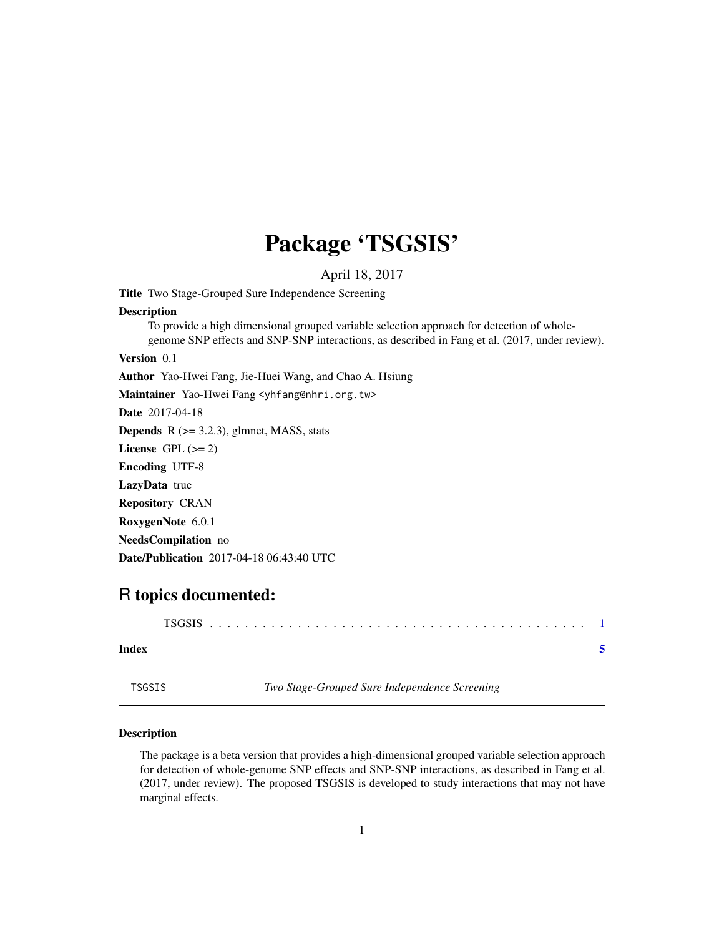## Package 'TSGSIS'

April 18, 2017

<span id="page-0-0"></span>Title Two Stage-Grouped Sure Independence Screening **Description** To provide a high dimensional grouped variable selection approach for detection of wholegenome SNP effects and SNP-SNP interactions, as described in Fang et al. (2017, under review).

Version 0.1

Author Yao-Hwei Fang, Jie-Huei Wang, and Chao A. Hsiung

Maintainer Yao-Hwei Fang <yhfang@nhri.org.tw>

Date 2017-04-18

**Depends**  $R$  ( $>= 3.2.3$ ), glmnet, MASS, stats

License GPL  $(>= 2)$ 

Encoding UTF-8

LazyData true

Repository CRAN

RoxygenNote 6.0.1

NeedsCompilation no

Date/Publication 2017-04-18 06:43:40 UTC

### R topics documented:

| Index |  |
|-------|--|

TSGSIS *Two Stage-Grouped Sure Independence Screening*

#### Description

The package is a beta version that provides a high-dimensional grouped variable selection approach for detection of whole-genome SNP effects and SNP-SNP interactions, as described in Fang et al. (2017, under review). The proposed TSGSIS is developed to study interactions that may not have marginal effects.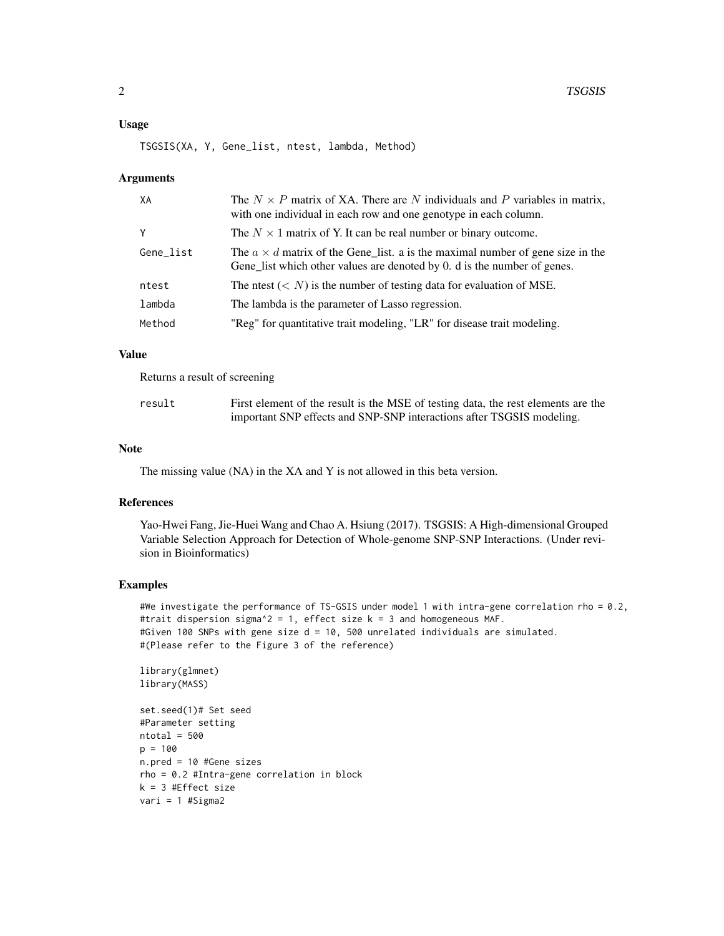#### Usage

TSGSIS(XA, Y, Gene\_list, ntest, lambda, Method)

#### Arguments

| The $N \times P$ matrix of XA. There are N individuals and P variables in matrix,<br>with one individual in each row and one genotype in each column.             |
|-------------------------------------------------------------------------------------------------------------------------------------------------------------------|
| The $N \times 1$ matrix of Y. It can be real number or binary outcome.                                                                                            |
| The $a \times d$ matrix of the Gene list. a is the maximal number of gene size in the<br>Gene list which other values are denoted by 0. d is the number of genes. |
| The ntest $(< N)$ is the number of testing data for evaluation of MSE.                                                                                            |
| The lambda is the parameter of Lasso regression.                                                                                                                  |
| "Reg" for quantitative trait modeling, "LR" for disease trait modeling.                                                                                           |
|                                                                                                                                                                   |

#### Value

Returns a result of screening

| result | First element of the result is the MSE of testing data, the rest elements are the |
|--------|-----------------------------------------------------------------------------------|
|        | important SNP effects and SNP-SNP interactions after TSGSIS modeling.             |

#### Note

The missing value (NA) in the XA and Y is not allowed in this beta version.

#### References

Yao-Hwei Fang, Jie-Huei Wang and Chao A. Hsiung (2017). TSGSIS: A High-dimensional Grouped Variable Selection Approach for Detection of Whole-genome SNP-SNP Interactions. (Under revision in Bioinformatics)

#### Examples

#We investigate the performance of TS-GSIS under model 1 with intra-gene correlation rho = 0.2, #trait dispersion sigma^2 = 1, effect size  $k = 3$  and homogeneous MAF. #Given 100 SNPs with gene size d = 10, 500 unrelated individuals are simulated. #(Please refer to the Figure 3 of the reference)

library(glmnet) library(MASS)

```
set.seed(1)# Set seed
#Parameter setting
ntotal = 500p = 100
n.pred = 10 #Gene sizes
rho = 0.2 #Intra-gene correlation in block
k = 3 #Effect size
vari = 1 #Sigma2
```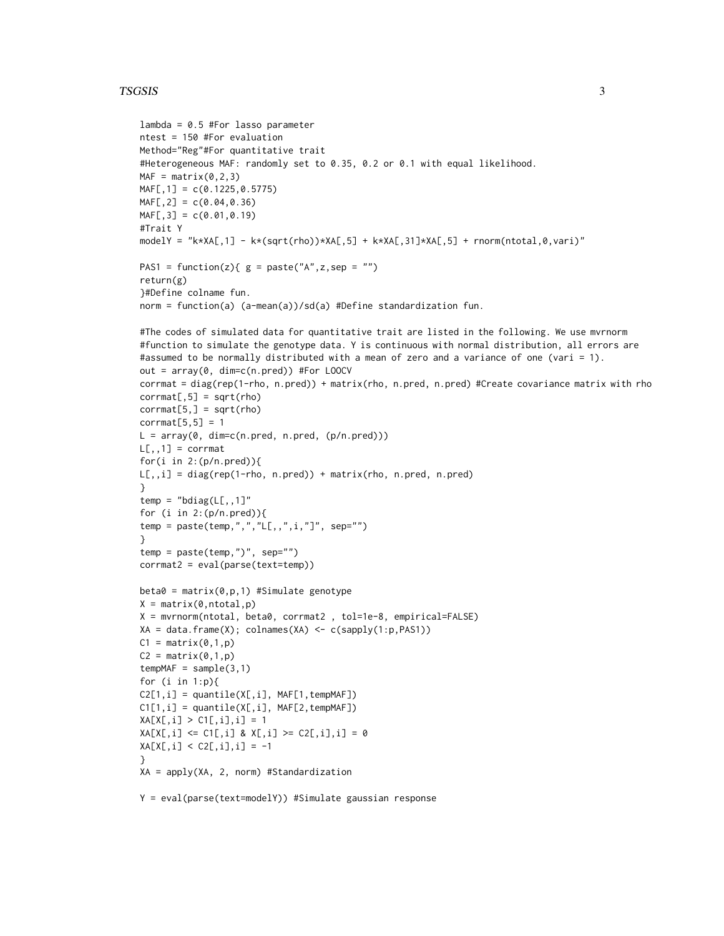#### TSGSIS 3

```
lambda = 0.5 #For lasso parameter
ntest = 150 #For evaluation
Method="Reg"#For quantitative trait
#Heterogeneous MAF: randomly set to 0.35, 0.2 or 0.1 with equal likelihood.
MAF = matrix(0, 2, 3)MAF[,1] = c(0.1225,0.5775)
MAF[, 2] = c(0.04, 0.36)MAF[, 3] = c(0.01, 0.19)#Trait Y
modelY = "k*XA[,1] - k*(sqrt(rho))*XA[,5] + k*XA[,31]*XA[,5] + rnorm(ntotal,0,vari)"
PAS1 = function(z){ g = paste("A",z,sep = "")
return(g)
}#Define colname fun.
norm = function(a) (a-mean(a))/sd(a) #Define standardization fun.
#The codes of simulated data for quantitative trait are listed in the following. We use mvrnorm
#function to simulate the genotype data. Y is continuous with normal distribution, all errors are
#assumed to be normally distributed with a mean of zero and a variance of one (vari = 1).
out = array(0, dim=c(n.pred)) #For LOOCV
corrmat = diag(rep(1-rho, n.pred)) + matrix(rho, n.pred, n.pred) #Create covariance matrix with rho
corrmat[, 5] = sqrt(rho)corrmat[5,] = sqrt(rho)corrmat[5,5] = 1L = array(0, dim=c(n.pred, n.pred, (p/n.pred)))
L[,, 1] = corrmat
for(i in 2:(p/n.pred)){
L[,, i] = diag(rep(1-rho, n.pred)) + matrix(rho, n.pred, n.pred)}
temp = "bdiag(L[,, 1]"
for (i in 2:(p/n.pred)){
temp = paste(temp,",","L[,,",i,"]", sep="")
}
temp = pastetemp, ")', sep="")corrmat2 = eval(parse(text=temp))
beta = matrix(0, p, 1) #Simulate genotype
X = matrix(0,ntotal, p)X = mvrnorm(ntotal, beta0, corrmat2 , tol=1e-8, empirical=FALSE)
XA = data frame(X); columns(XA) < -c(sapply(1:p, PAS1))C1 = matrix(0, 1, p)C2 = matrix(0,1,p)tempMAF = sample(3,1)for (i in 1:p){
C2[1,i] = quantile(X[,i], MAF[1,tempMAF])C1[1,i] = quantile(X[,i], MAF[2, tempMAF])XA[X[, i] > C1[, i], i] = 1XA[X[,i] \leq C1[,i] & X[,i] \geq C2[,i],i] = 0XA[X[, i] < C2[, i], i] = -1}
XA = apply(XA, 2, norm) #Standardization
Y = eval(parse(text=modelY)) #Simulate gaussian response
```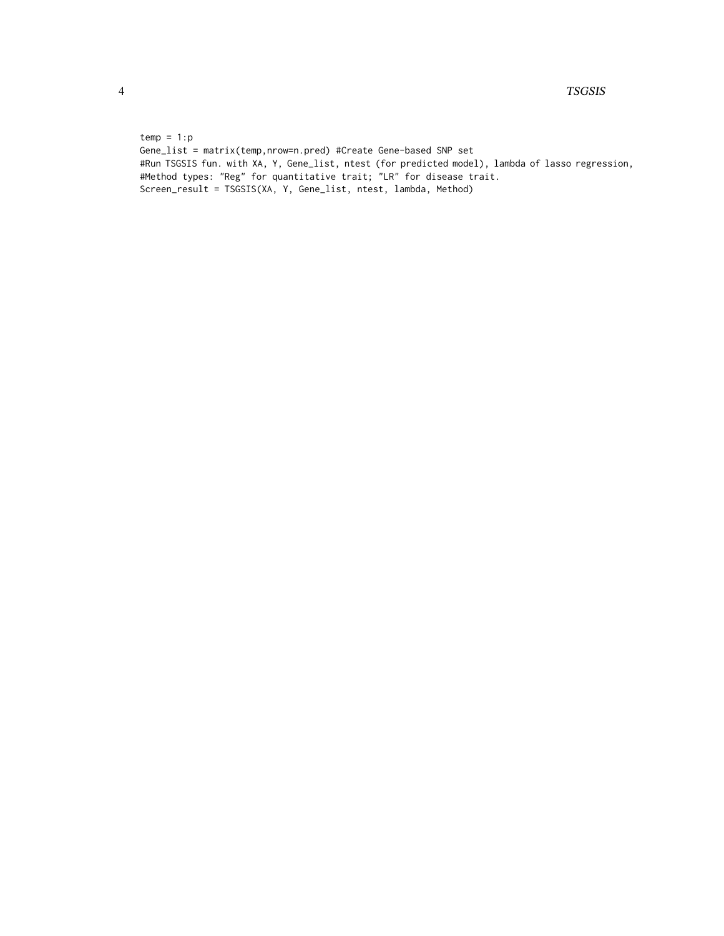$temp = 1:p$ Gene\_list = matrix(temp,nrow=n.pred) #Create Gene-based SNP set #Run TSGSIS fun. with XA, Y, Gene\_list, ntest (for predicted model), lambda of lasso regression, #Method types: "Reg" for quantitative trait; "LR" for disease trait. Screen\_result = TSGSIS(XA, Y, Gene\_list, ntest, lambda, Method)